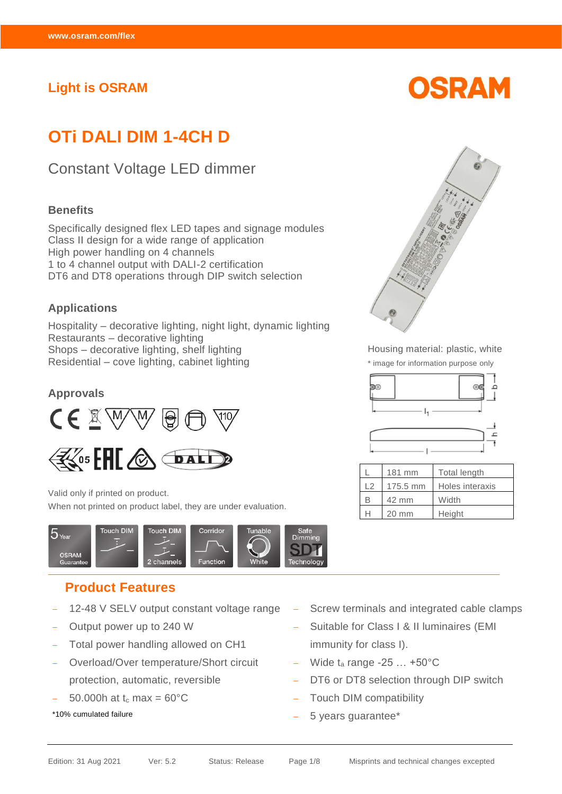## **Light is OSRAM**

# **OTi DALI DIM 1-4CH D**

## Constant Voltage LED dimmer

#### **Benefits**

Specifically designed flex LED tapes and signage modules Class II design for a wide range of application High power handling on 4 channels 1 to 4 channel output with DALI-2 certification DT6 and DT8 operations through DIP switch selection

#### **Applications**

Hospitality – decorative lighting, night light, dynamic lighting Restaurants – decorative lighting Shops – decorative lighting, shelf lighting Residential – cove lighting, cabinet lighting

#### **Approvals**





Valid only if printed on product. When not printed on product label, they are under evaluation.



## **Product Features**

- − 12-48 V SELV output constant voltage range
- − Output power up to 240 W
- Total power handling allowed on CH1
- − Overload/Over temperature/Short circuit protection, automatic, reversible
- 50.000h at  $t_c$  max = 60 $^{\circ}$ C
- \*10% cumulated failure





Housing material: plastic, white \* image for information purpose only



|    | 181 mm          | <b>Total length</b> |
|----|-----------------|---------------------|
| 12 | 175.5 mm        | Holes interaxis     |
|    | 42 mm           | Width               |
|    | $20 \text{ mm}$ | Height              |

- Screw terminals and integrated cable clamps
- − Suitable for Class I & II luminaires (EMI immunity for class I).
- − Wide t<sup>a</sup> range -25 … +50°C
- DT6 or DT8 selection through DIP switch
- Touch DIM compatibility
- − 5 years guarantee\*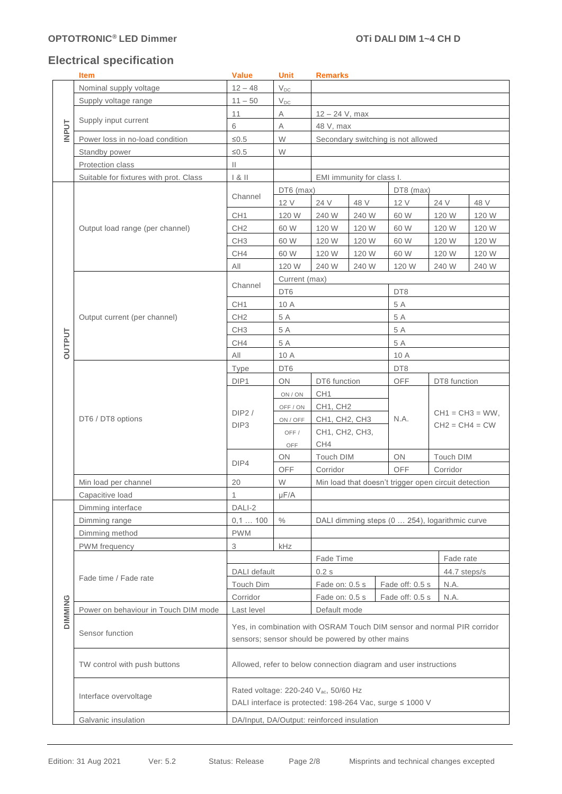## **Electrical specification**

|                | <b>Item</b>                            | <b>Value</b>                                     | Unit                       | <b>Remarks</b>                                                                                                |                           |                                                                         |              |                                        |  |  |
|----------------|----------------------------------------|--------------------------------------------------|----------------------------|---------------------------------------------------------------------------------------------------------------|---------------------------|-------------------------------------------------------------------------|--------------|----------------------------------------|--|--|
|                | Nominal supply voltage                 | $12 - 48$                                        | $\mathsf{V}_{\mathsf{DC}}$ |                                                                                                               |                           |                                                                         |              |                                        |  |  |
|                | Supply voltage range                   | $11 - 50$                                        | $\mathsf{V}_{\mathsf{DC}}$ |                                                                                                               |                           |                                                                         |              |                                        |  |  |
|                |                                        | 11                                               | Α                          |                                                                                                               | $12 - 24$ V, max          |                                                                         |              |                                        |  |  |
|                | Supply input current                   | 6                                                | A                          | 48 V, max                                                                                                     |                           |                                                                         |              |                                        |  |  |
| <b>INPUT</b>   | Power loss in no-load condition        | $\leq 0.5$                                       | W                          | Secondary switching is not allowed                                                                            |                           |                                                                         |              |                                        |  |  |
|                | Standby power                          | $≤0.5$                                           | W                          |                                                                                                               |                           |                                                                         |              |                                        |  |  |
|                | Protection class                       | $\mathbf{H}$                                     |                            |                                                                                                               |                           |                                                                         |              |                                        |  |  |
|                | Suitable for fixtures with prot. Class | 1 & 8                                            |                            |                                                                                                               | EMI immunity for class I. |                                                                         |              |                                        |  |  |
|                |                                        |                                                  |                            |                                                                                                               |                           |                                                                         |              |                                        |  |  |
|                |                                        | Channel                                          | DT6 (max)<br>12 V          | 24 V                                                                                                          | 48 V                      | DT8 (max)<br>12 V                                                       | 24 V         | 48 V                                   |  |  |
|                |                                        |                                                  |                            |                                                                                                               |                           |                                                                         |              |                                        |  |  |
|                |                                        | CH <sub>1</sub><br>CH <sub>2</sub>               | 120 W<br>60 W              | 240 W                                                                                                         | 240 W                     | 60 W                                                                    | 120 W        | 120 W                                  |  |  |
|                | Output load range (per channel)        |                                                  |                            | 120 W                                                                                                         | 120 W                     | 60 W                                                                    | 120 W        | 120 W                                  |  |  |
|                |                                        | CH <sub>3</sub>                                  | 60 W                       | 120 W                                                                                                         | 120 W                     | 60 W                                                                    | 120 W        | 120 W                                  |  |  |
|                |                                        | CH4                                              | 60 W                       | 120 W                                                                                                         | 120 W                     | 60 W                                                                    | 120 W        | 120 W                                  |  |  |
|                |                                        | All                                              | 120 W                      | 240 W                                                                                                         | 240 W                     | 120 W                                                                   | 240 W        | 240 W                                  |  |  |
|                |                                        | Channel                                          | Current (max)              |                                                                                                               |                           |                                                                         |              |                                        |  |  |
|                |                                        |                                                  | DT6                        |                                                                                                               |                           | DT8                                                                     |              |                                        |  |  |
|                |                                        | CH <sub>1</sub>                                  | 10 A                       |                                                                                                               |                           | 5 A                                                                     |              |                                        |  |  |
|                | Output current (per channel)           | CH <sub>2</sub>                                  | 5 A                        |                                                                                                               |                           | 5 A                                                                     |              |                                        |  |  |
|                |                                        | CH <sub>3</sub>                                  | 5 A                        |                                                                                                               |                           | 5 A                                                                     |              |                                        |  |  |
| <b>OUTPUT</b>  |                                        | CH4                                              | 5 A                        |                                                                                                               |                           | 5 A                                                                     |              |                                        |  |  |
|                |                                        | All                                              | 10 A                       |                                                                                                               |                           | 10 A                                                                    |              |                                        |  |  |
|                |                                        | Type                                             | DT6                        |                                                                                                               |                           | DT8                                                                     |              |                                        |  |  |
|                |                                        | DIP1                                             | ON                         |                                                                                                               | DT6 function              |                                                                         | DT8 function |                                        |  |  |
|                |                                        | DIP2/<br>DIP <sub>3</sub>                        | ON / ON                    | CH <sub>1</sub>                                                                                               |                           |                                                                         |              |                                        |  |  |
|                |                                        |                                                  | OFF / ON                   | CH1, CH2                                                                                                      |                           |                                                                         |              | $CH1 = CH3 = WW$ ,<br>$CH2 = CH4 = CW$ |  |  |
|                | DT6 / DT8 options                      |                                                  | ON / OFF                   | CH1, CH2, CH3                                                                                                 |                           | N.A.                                                                    |              |                                        |  |  |
|                |                                        |                                                  | OFF/                       | CH1, CH2, CH3,                                                                                                |                           |                                                                         |              |                                        |  |  |
|                |                                        |                                                  | OFF                        | CH4                                                                                                           |                           |                                                                         |              |                                        |  |  |
|                |                                        |                                                  | ON                         | Touch DIM                                                                                                     |                           | ON                                                                      | Touch DIM    |                                        |  |  |
|                |                                        | DIP4                                             | OFF                        | Corridor                                                                                                      |                           | OFF                                                                     | Corridor     |                                        |  |  |
|                | Min load per channel                   | 20                                               | W                          |                                                                                                               |                           | Min load that doesn't trigger open circuit detection                    |              |                                        |  |  |
|                | Capacitive load                        | 1                                                | $\mu$ F/A                  |                                                                                                               |                           |                                                                         |              |                                        |  |  |
|                | Dimming interface                      | DALI-2                                           |                            |                                                                                                               |                           |                                                                         |              |                                        |  |  |
|                | Dimming range                          | 0,1100                                           | $\%$                       |                                                                                                               |                           | DALI dimming steps (0  254), logarithmic curve                          |              |                                        |  |  |
|                | Dimming method                         | <b>PWM</b>                                       |                            |                                                                                                               |                           |                                                                         |              |                                        |  |  |
|                | PWM frequency                          | 3                                                | kHz                        |                                                                                                               |                           |                                                                         |              |                                        |  |  |
|                |                                        |                                                  |                            | Fade Time                                                                                                     |                           |                                                                         | Fade rate    |                                        |  |  |
|                |                                        | <b>DALI</b> default                              |                            | 0.2s<br>44.7 steps/s                                                                                          |                           |                                                                         |              |                                        |  |  |
|                | Fade time / Fade rate                  | Touch Dim                                        |                            | Fade on: 0.5 s<br>Fade off: 0.5 s<br>N.A.                                                                     |                           |                                                                         |              |                                        |  |  |
|                |                                        | Corridor                                         |                            | N.A.<br>Fade on: 0.5 s<br>Fade off: 0.5 s                                                                     |                           |                                                                         |              |                                        |  |  |
| <b>DIMMING</b> | Power on behaviour in Touch DIM mode   | Last level                                       |                            | Default mode                                                                                                  |                           |                                                                         |              |                                        |  |  |
|                |                                        |                                                  |                            |                                                                                                               |                           |                                                                         |              |                                        |  |  |
|                | Sensor function                        |                                                  |                            |                                                                                                               |                           | Yes, in combination with OSRAM Touch DIM sensor and normal PIR corridor |              |                                        |  |  |
|                |                                        | sensors; sensor should be powered by other mains |                            |                                                                                                               |                           |                                                                         |              |                                        |  |  |
|                | TW control with push buttons           |                                                  |                            | Allowed, refer to below connection diagram and user instructions                                              |                           |                                                                         |              |                                        |  |  |
|                | Interface overvoltage                  |                                                  |                            | Rated voltage: 220-240 V <sub>ac</sub> , 50/60 Hz<br>DALI interface is protected: 198-264 Vac, surge ≤ 1000 V |                           |                                                                         |              |                                        |  |  |
|                | Galvanic insulation                    | DA/Input, DA/Output: reinforced insulation       |                            |                                                                                                               |                           |                                                                         |              |                                        |  |  |
|                |                                        |                                                  |                            |                                                                                                               |                           |                                                                         |              |                                        |  |  |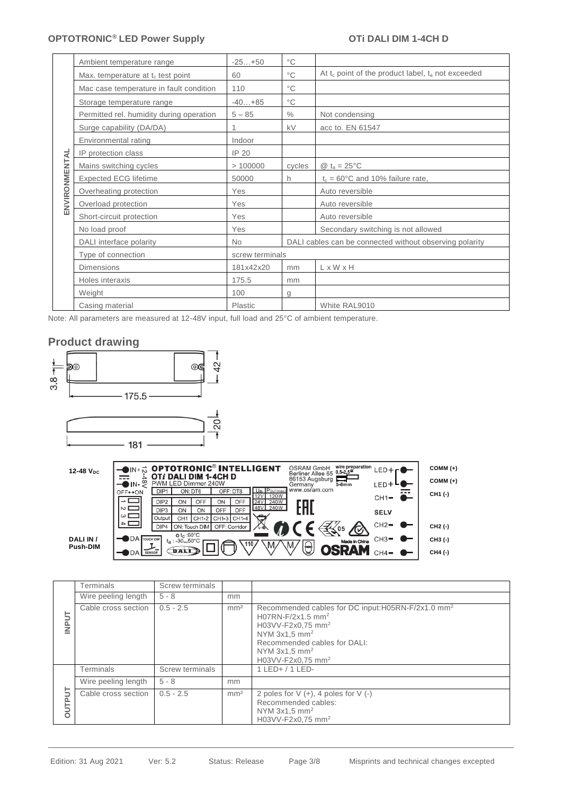### **OPTOTRONIC<sup>®</sup> LED Power Supply <b>COUPLE ACTS** OTI DALI DIM 1-4CH D

|                                         | Ambient temperature range                                                                                                                                                                                                                                                                            | $-25+50$                                                                                 | $^{\circ}$ C                                                                                                               |                                                                                                                                                |
|-----------------------------------------|------------------------------------------------------------------------------------------------------------------------------------------------------------------------------------------------------------------------------------------------------------------------------------------------------|------------------------------------------------------------------------------------------|----------------------------------------------------------------------------------------------------------------------------|------------------------------------------------------------------------------------------------------------------------------------------------|
| Max. temperature at $t_c$ test point    |                                                                                                                                                                                                                                                                                                      | 60                                                                                       | $^{\circ}$ C                                                                                                               | At $t_c$ point of the product label, $t_a$ not exceeded                                                                                        |
| Mac case temperature in fault condition |                                                                                                                                                                                                                                                                                                      | 110                                                                                      | $^{\circ}$ C                                                                                                               |                                                                                                                                                |
|                                         | Storage temperature range                                                                                                                                                                                                                                                                            | $-40+85$                                                                                 | $^{\circ}$ C                                                                                                               |                                                                                                                                                |
|                                         | Permitted rel. humidity during operation                                                                                                                                                                                                                                                             | $5 - 85$                                                                                 | $\%$                                                                                                                       | Not condensing                                                                                                                                 |
|                                         | Surge capability (DA/DA)                                                                                                                                                                                                                                                                             | 1                                                                                        | kV                                                                                                                         | acc to. EN 61547                                                                                                                               |
|                                         | Environmental rating                                                                                                                                                                                                                                                                                 | Indoor                                                                                   |                                                                                                                            |                                                                                                                                                |
|                                         | IP protection class                                                                                                                                                                                                                                                                                  | IP 20                                                                                    |                                                                                                                            |                                                                                                                                                |
| ENVIRONMENTAL                           | Mains switching cycles                                                                                                                                                                                                                                                                               | >100000                                                                                  | cycles                                                                                                                     | @ $t_a = 25^{\circ}C$                                                                                                                          |
|                                         | <b>Expected ECG lifetime</b>                                                                                                                                                                                                                                                                         | 50000                                                                                    | h                                                                                                                          | $t_c = 60^{\circ}$ C and 10% failure rate,                                                                                                     |
|                                         | Overheating protection                                                                                                                                                                                                                                                                               | Yes                                                                                      |                                                                                                                            | Auto reversible                                                                                                                                |
|                                         | Overload protection                                                                                                                                                                                                                                                                                  | Yes                                                                                      |                                                                                                                            | Auto reversible                                                                                                                                |
|                                         | Short-circuit protection                                                                                                                                                                                                                                                                             | Yes                                                                                      |                                                                                                                            | Auto reversible                                                                                                                                |
|                                         | No load proof                                                                                                                                                                                                                                                                                        | Yes                                                                                      |                                                                                                                            | Secondary switching is not allowed                                                                                                             |
|                                         | DALI interface polarity                                                                                                                                                                                                                                                                              | No                                                                                       |                                                                                                                            | DALI cables can be connected without observing polarity                                                                                        |
|                                         | Type of connection                                                                                                                                                                                                                                                                                   | screw terminals                                                                          |                                                                                                                            |                                                                                                                                                |
|                                         | <b>Dimensions</b>                                                                                                                                                                                                                                                                                    | 181x42x20                                                                                | mm                                                                                                                         | LxWxH                                                                                                                                          |
|                                         | Holes interaxis                                                                                                                                                                                                                                                                                      | 175.5                                                                                    | mm                                                                                                                         |                                                                                                                                                |
|                                         | Weight                                                                                                                                                                                                                                                                                               | 100                                                                                      | g                                                                                                                          |                                                                                                                                                |
|                                         | Casing material<br>Note: All parameters are measured at 12-48V input, full load and 25°C of ambient temperature.                                                                                                                                                                                     | Plastic                                                                                  |                                                                                                                            | White RAL9010                                                                                                                                  |
|                                         |                                                                                                                                                                                                                                                                                                      |                                                                                          |                                                                                                                            |                                                                                                                                                |
|                                         | $175.5 -$<br>20<br>- 181 -<br>12-48 V <sub>DC</sub><br>$\overline{\bullet}$ IN- $\stackrel{\infty}{\le}$<br>PWM LED Dimmer 240W<br>ON: DT6<br>DIP <sub>1</sub><br>OFF←ON<br>DIP <sub>2</sub><br>OFF<br>ON<br>N<br>DIP <sub>3</sub><br>ON<br>ON<br>ωΓ<br>Output<br>CH1 CH1-2<br>DIP4<br>ON: Touch DIM | OFF: DT8<br>12V<br>ON<br>OFF<br>24V<br>OFF<br>OFF<br>$CH1-3$<br>$CH1-4$<br>OFF: Corridor | 86153 Augsburg<br>Germany<br>www.osram.com<br>U <sub>IN</sub> POUT(max.<br>120W<br>240W<br>EAI<br>48V 240W                 | OSRAM GmbH wire preparation LED $+$ $\Gamma$ <sup>1</sup><br>$COMM (+)$<br>$COMM (+)$<br>LED+LO<br>$5-8mm$<br>CH1 (-)<br>$CH1-$<br><b>SELV</b> |
|                                         | $o t_c : 60^\circ C$<br>DA TOUCH DIM<br>DALI IN /<br>$t_a$ : 30.50°C<br><b>Push-DIM</b><br><b>DALI</b><br>$DA$ $s_{ENSOR}$                                                                                                                                                                           |                                                                                          |                                                                                                                            | $CH2-$<br>CH2 (-)<br>Made in China $CH3$ =<br>CH3 (-)<br><b>OSRAM</b><br>$CH4-$<br>CH4 (-)                                                     |
|                                         | <b>Terminals</b><br>Screw terminals                                                                                                                                                                                                                                                                  |                                                                                          |                                                                                                                            |                                                                                                                                                |
|                                         | Wire peeling length<br>$5 - 8$                                                                                                                                                                                                                                                                       | mm                                                                                       |                                                                                                                            |                                                                                                                                                |
| <b>INPUT</b>                            | $0.5 - 2.5$<br>Cable cross section                                                                                                                                                                                                                                                                   | mm <sup>2</sup>                                                                          | H07RN-F/2x1.5 mm <sup>2</sup><br>H03VV-F2x0,75 mm <sup>2</sup><br>NYM $3x1,5$ mm <sup>2</sup><br>NYM 3x1,5 mm <sup>2</sup> | Recommended cables for DC input:H05RN-F/2x1.0 mm <sup>2</sup><br>Recommended cables for DALI:                                                  |
|                                         | <b>Terminals</b><br>Screw terminals                                                                                                                                                                                                                                                                  |                                                                                          | H03VV-F2x0,75 mm <sup>2</sup><br>1 LED+ / 1 LED-                                                                           |                                                                                                                                                |
|                                         | Wire peeling length<br>$5 - 8$                                                                                                                                                                                                                                                                       | mm                                                                                       |                                                                                                                            |                                                                                                                                                |
| <b>OUTPUT</b>                           | Cable cross section<br>$0.5 - 2.5$                                                                                                                                                                                                                                                                   | mm <sup>2</sup>                                                                          | Recommended cables:<br>NYM $3x1.5$ mm <sup>2</sup><br>H03VV-F2x0,75 mm <sup>2</sup>                                        | 2 poles for $V (+), 4$ poles for $V (-)$                                                                                                       |
|                                         |                                                                                                                                                                                                                                                                                                      |                                                                                          |                                                                                                                            |                                                                                                                                                |
|                                         |                                                                                                                                                                                                                                                                                                      |                                                                                          |                                                                                                                            |                                                                                                                                                |

### **Product drawing**



| 12-48 V <sub>pc</sub> |                          | <b>OIN+</b> DRTOTRONIC <sup>®</sup> INTELLIGENT | <b>DALI DIM 1-4CH D</b> |               |                                            | <b>OSRAM GmbH</b><br>Berliner Allee 65 0.5-2.5<br>86153 Augsburg | wire preparation | $LED + F'$  | $COMM (+)$          |
|-----------------------|--------------------------|-------------------------------------------------|-------------------------|---------------|--------------------------------------------|------------------------------------------------------------------|------------------|-------------|---------------------|
|                       | $\infty$                 | PWM LED Dimmer 240W                             |                         |               |                                            | Germany                                                          | $5 - 8$ $mm$     | LED+"       | $COMM (+)$          |
|                       | $OFF \leftrightarrow ON$ | DIP <sub>1</sub>                                | ON: DT6                 | OFF: DT8      | U <sub>IN</sub> POUT(max.)<br>12VI<br>120W | www.osram.com                                                    |                  | ---         | CH <sub>1</sub> (-) |
|                       |                          | DIP <sub>2</sub><br>ON                          | OFF<br>ON               | OFF           | 240W<br><b>24V</b>                         |                                                                  |                  | $CH1-$      |                     |
|                       | ।∾ ।                     | DIP <sub>3</sub><br>ON                          | OFF<br>OΝ               | OFF           | 48V 240W                                   |                                                                  |                  | <b>SELV</b> |                     |
|                       | $\omega$<br>$-4$         | Output<br>CH <sub>1</sub>                       | $CH1-2$                 | CH1-3 CH1-4   | بملكاء<br>↜                                |                                                                  |                  |             |                     |
|                       |                          | DIP <sub>4</sub>                                | ON: Touch DIM           | OFF: Corridor | $7 - 6$                                    |                                                                  | 05               | $CH2-$      | CH <sub>2</sub> (-) |
| DALI IN /             | $DA$ TOUCH DIM           | $o t_c$ :60 $°C$<br>$t_a$ : -3050°C             |                         | .110.         | .M                                         | λM,<br>₩                                                         | Made in China    | $CH3-$      | CH3 (-)             |
| <b>Push-DIM</b>       | DDA                      | DALI<br><b>SENSOR</b>                           |                         |               |                                            | ≃                                                                |                  |             | CH4 (-)             |

|                   | Terminals           | Screw terminals |                 |                                                                                                                                                                                                                                                                 |
|-------------------|---------------------|-----------------|-----------------|-----------------------------------------------------------------------------------------------------------------------------------------------------------------------------------------------------------------------------------------------------------------|
|                   | Wire peeling length | $5 - 8$         | mm              |                                                                                                                                                                                                                                                                 |
| <b>INPUT</b>      | Cable cross section | $0.5 - 2.5$     | mm <sup>2</sup> | Recommended cables for DC input: H05RN-F/2x1.0 mm <sup>2</sup><br>H07RN-F/2x1.5 mm <sup>2</sup><br>H03VV-F2x0.75 mm <sup>2</sup><br>NYM $3x1.5$ mm <sup>2</sup><br>Recommended cables for DALI:<br>NYM $3x1.5$ mm <sup>2</sup><br>H03VV-F2x0,75 mm <sup>2</sup> |
|                   | <b>Terminals</b>    | Screw terminals |                 | $1$ LED+ $/$ 1 LED-                                                                                                                                                                                                                                             |
|                   | Wire peeling length | $5 - 8$         | mm              |                                                                                                                                                                                                                                                                 |
| 5<br><b>DUTPI</b> | Cable cross section | $0.5 - 2.5$     | mm <sup>2</sup> | 2 poles for $V (+)$ , 4 poles for $V (-)$<br>Recommended cables:<br>NYM $3x1.5$ mm <sup>2</sup><br>H03VV-F2x0,75 mm <sup>2</sup>                                                                                                                                |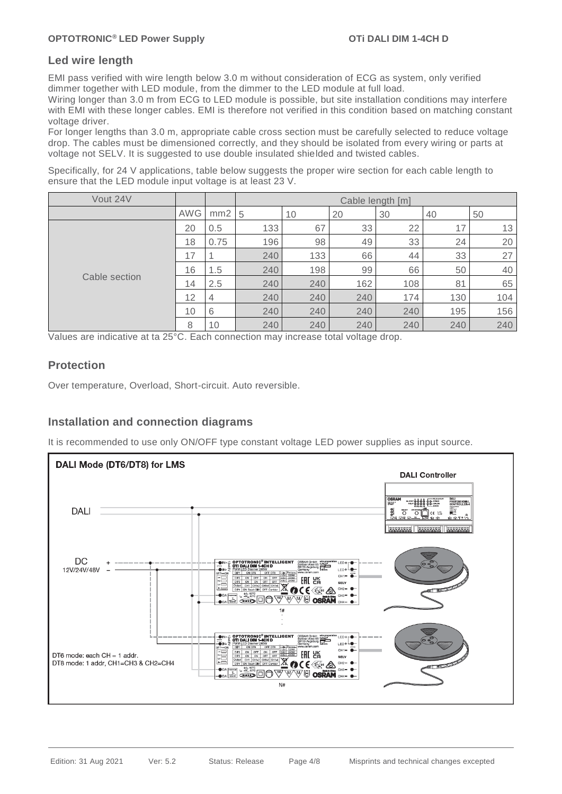#### **Led wire length**

EMI pass verified with wire length below 3.0 m without consideration of ECG as system, only verified dimmer together with LED module, from the dimmer to the LED module at full load.

Wiring longer than 3.0 m from ECG to LED module is possible, but site installation conditions may interfere with EMI with these longer cables. EMI is therefore not verified in this condition based on matching constant voltage driver.

For longer lengths than 3.0 m, appropriate cable cross section must be carefully selected to reduce voltage drop. The cables must be dimensioned correctly, and they should be isolated from every wiring or parts at voltage not SELV. It is suggested to use double insulated shielded and twisted cables.

Specifically, for 24 V applications, table below suggests the proper wire section for each cable length to ensure that the LED module input voltage is at least 23 V.

| Vout 24V      |            |      | Cable length [m] |     |     |     |     |     |
|---------------|------------|------|------------------|-----|-----|-----|-----|-----|
|               | <b>AWG</b> | mm2  | 5                | 10  | 20  | 30  | 40  | 50  |
|               | 20         | 0.5  | 133              | 67  | 33  | 22  | 17  | 13  |
|               | 18         | 0.75 | 196              | 98  | 49  | 33  | 24  | 20  |
|               | 17         |      | 240              | 133 | 66  | 44  | 33  | 27  |
|               | 16         | 1.5  | 240              | 198 | 99  | 66  | 50  | 40  |
| Cable section | 14         | 2.5  | 240              | 240 | 162 | 108 | 81  | 65  |
|               | 12         | 4    | 240              | 240 | 240 | 174 | 130 | 104 |
|               | 10         | 6    | 240              | 240 | 240 | 240 | 195 | 156 |
|               | 8          | 10   | 240              | 240 | 240 | 240 | 240 | 240 |

Values are indicative at ta 25°C. Each connection may increase total voltage drop.

### **Protection**

Over temperature, Overload, Short-circuit. Auto reversible.

### **Installation and connection diagrams**

It is recommended to use only ON/OFF type constant voltage LED power supplies as input source.

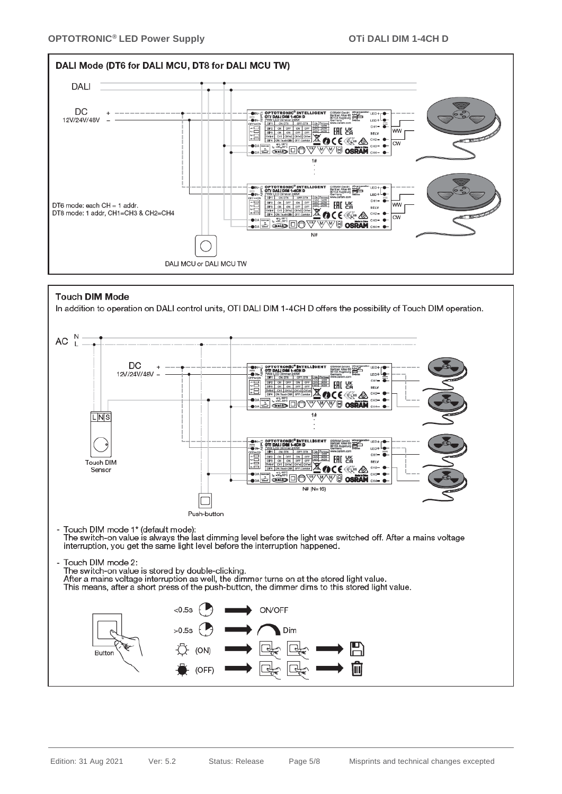



#### **Touch DIM Mode**

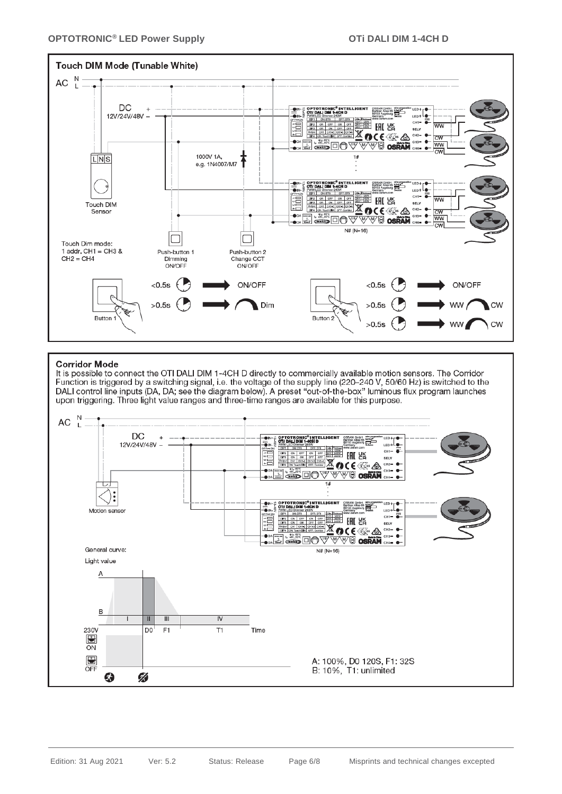

#### **Corridor Mode**

It is possible to connect the OTI DALI DIM 1-4CH D directly to commercially available motion sensors. The Corridor Function is triggered by a switching signal, i.e. the voltage of the supply line (220-240 V, 50/60 Hz) is switched to the DALI control line inputs (DA, DA; see the diagram below). A preset "out-of-the-box" luminous flux program launches upon triggering. Three light value ranges and three-time ranges are available for this purpose.

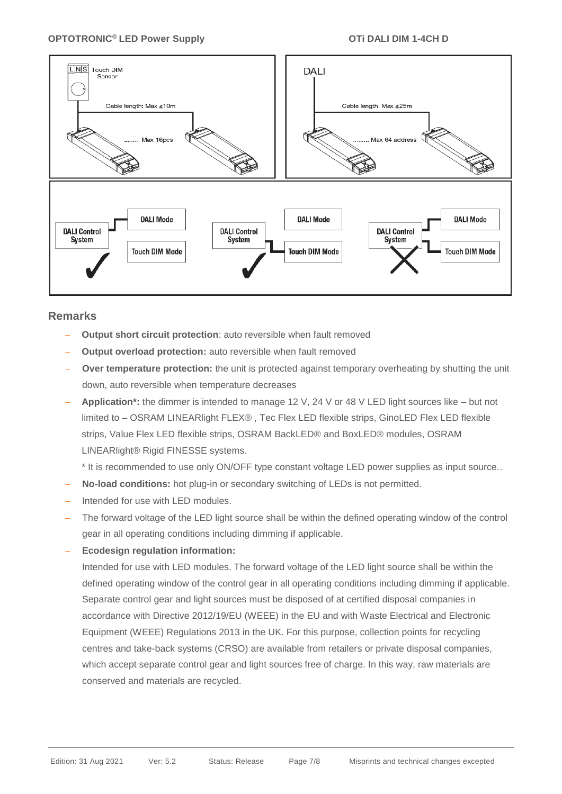

#### **Remarks**

- **Output short circuit protection**: auto reversible when fault removed
- **Output overload protection:** auto reversible when fault removed
- **Over temperature protection:** the unit is protected against temporary overheating by shutting the unit down, auto reversible when temperature decreases
- − **Application\*:** the dimmer is intended to manage 12 V, 24 V or 48 V LED light sources like but not limited to – OSRAM LINEARlight FLEX® , Tec Flex LED flexible strips, GinoLED Flex LED flexible strips, Value Flex LED flexible strips, OSRAM BackLED® and BoxLED® modules, OSRAM LINEARlight® Rigid FINESSE systems.
	- \* It is recommended to use only ON/OFF type constant voltage LED power supplies as input source..
- **No-load conditions:** hot plug-in or secondary switching of LEDs is not permitted.
- − Intended for use with LED modules.
- The forward voltage of the LED light source shall be within the defined operating window of the control gear in all operating conditions including dimming if applicable.
- − **Ecodesign regulation information:**

Intended for use with LED modules. The forward voltage of the LED light source shall be within the defined operating window of the control gear in all operating conditions including dimming if applicable. Separate control gear and light sources must be disposed of at certified disposal companies in accordance with Directive 2012/19/EU (WEEE) in the EU and with Waste Electrical and Electronic Equipment (WEEE) Regulations 2013 in the UK. For this purpose, collection points for recycling centres and take-back systems (CRSO) are available from retailers or private disposal companies, which accept separate control gear and light sources free of charge. In this way, raw materials are conserved and materials are recycled.